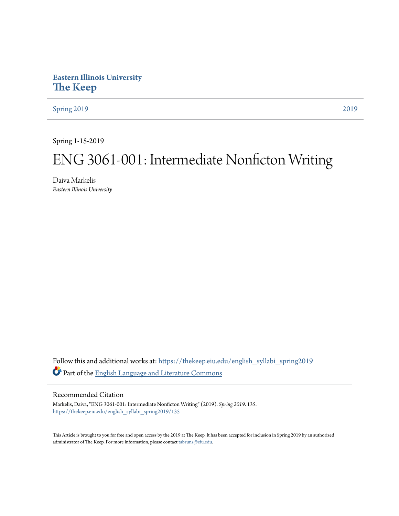## **Eastern Illinois University [The Keep](https://thekeep.eiu.edu?utm_source=thekeep.eiu.edu%2Fenglish_syllabi_spring2019%2F135&utm_medium=PDF&utm_campaign=PDFCoverPages)**

[Spring 2019](https://thekeep.eiu.edu/english_syllabi_spring2019?utm_source=thekeep.eiu.edu%2Fenglish_syllabi_spring2019%2F135&utm_medium=PDF&utm_campaign=PDFCoverPages) [2019](https://thekeep.eiu.edu/english_syllabi2019?utm_source=thekeep.eiu.edu%2Fenglish_syllabi_spring2019%2F135&utm_medium=PDF&utm_campaign=PDFCoverPages)

Spring 1-15-2019

# ENG 3061-001: Intermediate Nonficton Writing

Daiva Markelis *Eastern Illinois University*

Follow this and additional works at: [https://thekeep.eiu.edu/english\\_syllabi\\_spring2019](https://thekeep.eiu.edu/english_syllabi_spring2019?utm_source=thekeep.eiu.edu%2Fenglish_syllabi_spring2019%2F135&utm_medium=PDF&utm_campaign=PDFCoverPages) Part of the [English Language and Literature Commons](http://network.bepress.com/hgg/discipline/455?utm_source=thekeep.eiu.edu%2Fenglish_syllabi_spring2019%2F135&utm_medium=PDF&utm_campaign=PDFCoverPages)

#### Recommended Citation

Markelis, Daiva, "ENG 3061-001: Intermediate Nonficton Writing" (2019). *Spring 2019*. 135. [https://thekeep.eiu.edu/english\\_syllabi\\_spring2019/135](https://thekeep.eiu.edu/english_syllabi_spring2019/135?utm_source=thekeep.eiu.edu%2Fenglish_syllabi_spring2019%2F135&utm_medium=PDF&utm_campaign=PDFCoverPages)

This Article is brought to you for free and open access by the 2019 at The Keep. It has been accepted for inclusion in Spring 2019 by an authorized administrator of The Keep. For more information, please contact [tabruns@eiu.edu.](mailto:tabruns@eiu.edu)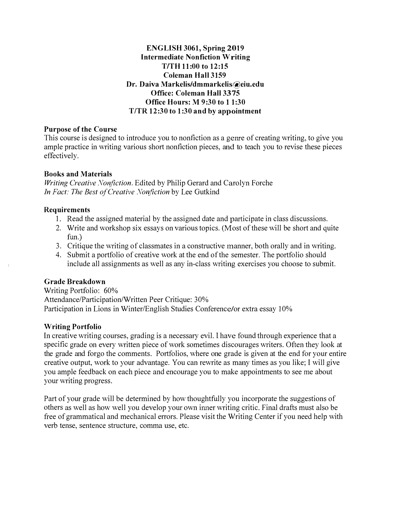#### ENGLISH 3061, Spring 2019 Intermediate Nonfiction Writing TITH 11:00 to 12:15 Coieman Hall 3159 Dr. Daiva Markelis/dmmarkelis@eiu.edu Office: Coleman Hall 3375 Office Hours: M 9:30 to 1 1:30 T/TR 12:30 to 1:30 and by appointment

#### Purpose of the Course

This course is designed to introduce you to nonfiction as a geme of creating writing, to give you ample practice in writing various short nonfiction pieces, and to teach you to revise these pieces effectively.

#### Books and Materials

Writing Creative Nonfiction. Edited by Philip Gerard and Carolyn Porche Jn Fact: The Best of Creative Nonfiction by Lee Gutkind

### Requirements

- 1. Read the assigned material by the assigned date and participate in class discussions.
- 2. Write and workshop six essays on various topics. (Most of these will be short and quite fun.)
- 3. Critique the writing of classmates in a constructive manner, both orally and in writing.
- 4. Submit a portfolio of creative work at the end of the semester. The portfolio should include all assignments as well as any in-class writing exercises you choose to submit.

### Grade Breakdown

Writing Portfolio: 60% Attendance/Participation/Written Peer Critique: 30% Participation in Lions in Winter/English Studies Conference/or extra essay 10%

### Writing Portfolio

In creative writing courses, grading is a necessary evil. l have found through experience that a specific grade on every written piece of work sometimes discourages writers. Often they look at the grade and forgo the comments. Portfolios, where one grade is given at the end for your entire creative output, work to your advantage. You can rewrite as many times as you like; I will give you ample feedback on each piece and encourage you to make appointments to see me about your writing progress.

Part of your grade will be determined by how thoughtfully you incorporate the suggestions of others as well as how well you develop your own inner writing critic. Final drafts must also be free of grammatical and mechanical errors. Please visit the Writing Center if you need help with verb tense, sentence structure, comma use, etc.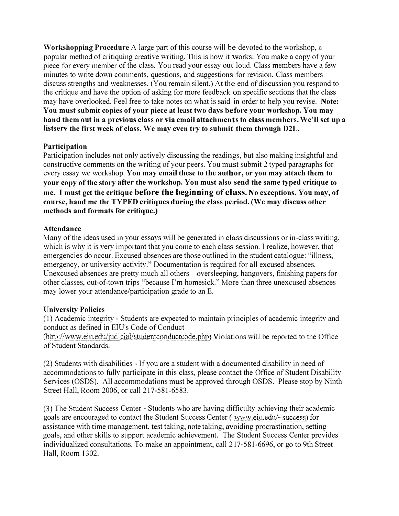Workshopping Procedure A large part of this course will be devoted to the workshop, a popular method of critiquing creative writing. This is how it works: You make a copy of your piece for every member of the class. You read your essay out loud. Class members have a few minutes to write down comments, questions, and suggestions for revision. Class members discuss strengths and weaknesses. (You remain silent.) At the end of discussion you respond to the critique and have the option of asking for more feedback on specific sections that the class may have overlooked. Feel free to take notes on what is said in order to help you revise. Note: You must submit copies of your piece at least two days before your workshop. You may hand them out in a previous class or via email attachments to class members. We'll set up a listserv the first week of class. We may even try to submit them through D2L.

### Participation

Participation includes not only actively discussing the readings, but also making insightful and constructive comments on the writing of your peers. You must submit 2 typed paragraphs for every essay we workshop. You may email these to the author, or you may attach them to your copy of the story after the workshop. You must also send the same typed critique to me. I must get the critique before the beginning of class. No exceptions. You may, of course, hand me the TYPED critiques during the class period. (We may discuss other methods and formats for critique.)

#### Attendance

Many of the ideas used in your essays will be generated in class discussions or in-class writing, which is why it is very important that you come to each class session. I realize, however, that emergencies do occur. Excused absences are those outlined in the student catalogue: "illness, emergency, or university activity." Documentation is required for all excused absences. Unexcused absences are pretty much all others--oversleeping, hangovers, finishing papers for other classes, out-of-town trips "because I'm homesick." More than three unexcused absences may lower your attendance/participation grade to an E.

### University Policies

( 1) Academic integrity - Students are expected to maintain principles of academic integrity and conduct as defined in EIU's Code of Conduct

(http://www.eiu.edu/judicial/studentconductcode.php) Violations will be reported to the Office of Student Standards.

(2) Students with disabilities - If you are a student with a documented disability in need of accommodations to fully participate in this class, please contact the Office of Student Disability Services (OSDS). All accommodations must be approved through OSDS. Please stop by Ninth Street Hall, Room 2006, or call 217-581-6583.

(3) The Student Success Center - Students who are having difficulty achieving their academic goals are encouraged to contact the Student Success Center ( www.eiu.edu/-success) for assistance with time management, test taking, note taking, avoiding procrastination, setting goals, and other skills to support academic achievement. The Student Success Center provides individualized consultations. To make an appointment, call 2 17-58 1-6696, or go to 9th Street Hall, Room 1302.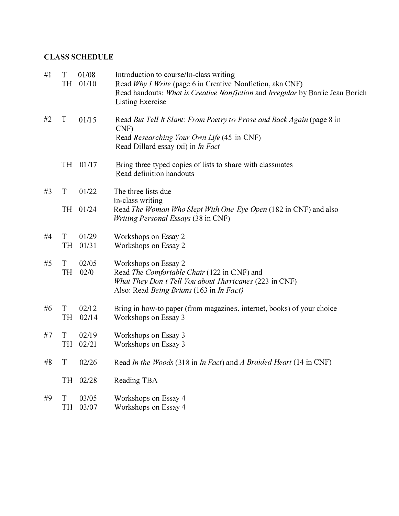## CLASS SCHEDULE

| #1 | T<br>TH        | 01/08<br>01/10 | Introduction to course/In-class writing<br>Read Why I Write (page 6 in Creative Nonfiction, aka CNF)<br>Read handouts: What is Creative Nonfiction and Irregular by Barrie Jean Borich<br>Listing Exercise |  |
|----|----------------|----------------|------------------------------------------------------------------------------------------------------------------------------------------------------------------------------------------------------------|--|
| #2 | T              | 01/15          | Read But Tell It Slant: From Poetry to Prose and Back Again (page 8 in<br>CNF)<br>Read Researching Your Own Life (45 in CNF)<br>Read Dillard essay (xi) in <i>In Fact</i>                                  |  |
|    | <b>TH</b>      | 01/17          | Bring three typed copies of lists to share with classmates<br>Read definition handouts                                                                                                                     |  |
| #3 | T              | 01/22          | The three lists due<br>In-class writing                                                                                                                                                                    |  |
|    | <b>TH</b>      | 01/24          | Read The Woman Who Slept With One Eye Open (182 in CNF) and also<br><i>Writing Personal Essays</i> (38 in CNF)                                                                                             |  |
| #4 | T<br>TH        | 01/29<br>01/31 | Workshops on Essay 2<br>Workshops on Essay 2                                                                                                                                                               |  |
| #5 | T<br><b>TH</b> | 02/05<br>02/0  | Workshops on Essay 2<br>Read The Comfortable Chair (122 in CNF) and<br>What They Don't Tell You about Hurricanes (223 in CNF)<br>Also: Read Being Brians (163 in In Fact)                                  |  |
| #6 | T<br><b>TH</b> | 02/12<br>02/14 | Bring in how-to paper (from magazines, internet, books) of your choice<br>Workshops on Essay 3                                                                                                             |  |
| #7 | T<br>TH        | 02/19<br>02/21 | Workshops on Essay 3<br>Workshops on Essay 3                                                                                                                                                               |  |
| #8 | T              | 02/26          | Read In the Woods (318 in In Fact) and A Braided Heart (14 in CNF)                                                                                                                                         |  |
|    | TH             | 02/28          | Reading TBA                                                                                                                                                                                                |  |
| #9 | T<br>TH        | 03/05<br>03/07 | Workshops on Essay 4<br>Workshops on Essay 4                                                                                                                                                               |  |